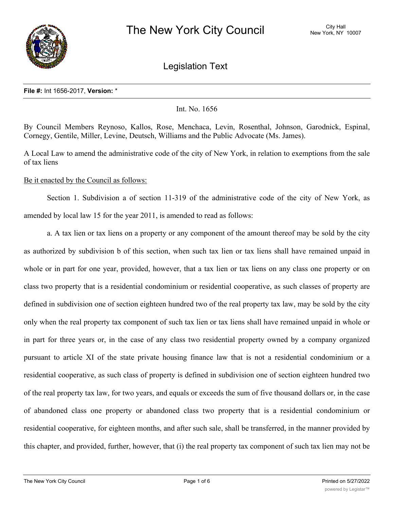

Legislation Text

#### **File #:** Int 1656-2017, **Version:** \*

## Int. No. 1656

By Council Members Reynoso, Kallos, Rose, Menchaca, Levin, Rosenthal, Johnson, Garodnick, Espinal, Cornegy, Gentile, Miller, Levine, Deutsch, Williams and the Public Advocate (Ms. James).

A Local Law to amend the administrative code of the city of New York, in relation to exemptions from the sale of tax liens

Be it enacted by the Council as follows:

Section 1. Subdivision a of section 11-319 of the administrative code of the city of New York, as amended by local law 15 for the year 2011, is amended to read as follows:

a. A tax lien or tax liens on a property or any component of the amount thereof may be sold by the city as authorized by subdivision b of this section, when such tax lien or tax liens shall have remained unpaid in whole or in part for one year, provided, however, that a tax lien or tax liens on any class one property or on class two property that is a residential condominium or residential cooperative, as such classes of property are defined in subdivision one of section eighteen hundred two of the real property tax law, may be sold by the city only when the real property tax component of such tax lien or tax liens shall have remained unpaid in whole or in part for three years or, in the case of any class two residential property owned by a company organized pursuant to article XI of the state private housing finance law that is not a residential condominium or a residential cooperative, as such class of property is defined in subdivision one of section eighteen hundred two of the real property tax law, for two years, and equals or exceeds the sum of five thousand dollars or, in the case of abandoned class one property or abandoned class two property that is a residential condominium or residential cooperative, for eighteen months, and after such sale, shall be transferred, in the manner provided by this chapter, and provided, further, however, that (i) the real property tax component of such tax lien may not be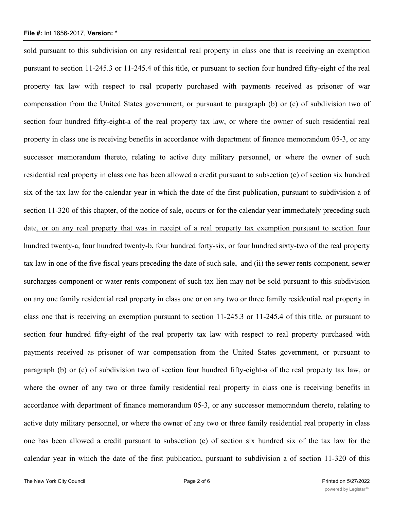sold pursuant to this subdivision on any residential real property in class one that is receiving an exemption pursuant to section 11-245.3 or 11-245.4 of this title, or pursuant to section four hundred fifty-eight of the real property tax law with respect to real property purchased with payments received as prisoner of war compensation from the United States government, or pursuant to paragraph (b) or (c) of subdivision two of section four hundred fifty-eight-a of the real property tax law, or where the owner of such residential real property in class one is receiving benefits in accordance with department of finance memorandum 05-3, or any successor memorandum thereto, relating to active duty military personnel, or where the owner of such residential real property in class one has been allowed a credit pursuant to subsection (e) of section six hundred six of the tax law for the calendar year in which the date of the first publication, pursuant to subdivision a of section 11-320 of this chapter, of the notice of sale, occurs or for the calendar year immediately preceding such date, or on any real property that was in receipt of a real property tax exemption pursuant to section four hundred twenty-a, four hundred twenty-b, four hundred forty-six, or four hundred sixty-two of the real property tax law in one of the five fiscal years preceding the date of such sale, and (ii) the sewer rents component, sewer surcharges component or water rents component of such tax lien may not be sold pursuant to this subdivision on any one family residential real property in class one or on any two or three family residential real property in class one that is receiving an exemption pursuant to section 11-245.3 or 11-245.4 of this title, or pursuant to section four hundred fifty-eight of the real property tax law with respect to real property purchased with payments received as prisoner of war compensation from the United States government, or pursuant to paragraph (b) or (c) of subdivision two of section four hundred fifty-eight-a of the real property tax law, or where the owner of any two or three family residential real property in class one is receiving benefits in accordance with department of finance memorandum 05-3, or any successor memorandum thereto, relating to active duty military personnel, or where the owner of any two or three family residential real property in class one has been allowed a credit pursuant to subsection (e) of section six hundred six of the tax law for the calendar year in which the date of the first publication, pursuant to subdivision a of section 11-320 of this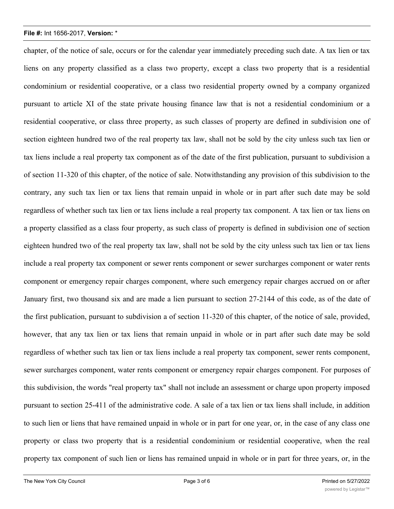chapter, of the notice of sale, occurs or for the calendar year immediately preceding such date. A tax lien or tax liens on any property classified as a class two property, except a class two property that is a residential condominium or residential cooperative, or a class two residential property owned by a company organized pursuant to article XI of the state private housing finance law that is not a residential condominium or a residential cooperative, or class three property, as such classes of property are defined in subdivision one of section eighteen hundred two of the real property tax law, shall not be sold by the city unless such tax lien or tax liens include a real property tax component as of the date of the first publication, pursuant to subdivision a of section 11-320 of this chapter, of the notice of sale. Notwithstanding any provision of this subdivision to the contrary, any such tax lien or tax liens that remain unpaid in whole or in part after such date may be sold regardless of whether such tax lien or tax liens include a real property tax component. A tax lien or tax liens on a property classified as a class four property, as such class of property is defined in subdivision one of section eighteen hundred two of the real property tax law, shall not be sold by the city unless such tax lien or tax liens include a real property tax component or sewer rents component or sewer surcharges component or water rents component or emergency repair charges component, where such emergency repair charges accrued on or after January first, two thousand six and are made a lien pursuant to section 27-2144 of this code, as of the date of the first publication, pursuant to subdivision a of section 11-320 of this chapter, of the notice of sale, provided, however, that any tax lien or tax liens that remain unpaid in whole or in part after such date may be sold regardless of whether such tax lien or tax liens include a real property tax component, sewer rents component, sewer surcharges component, water rents component or emergency repair charges component. For purposes of this subdivision, the words "real property tax" shall not include an assessment or charge upon property imposed pursuant to section 25-411 of the administrative code. A sale of a tax lien or tax liens shall include, in addition to such lien or liens that have remained unpaid in whole or in part for one year, or, in the case of any class one property or class two property that is a residential condominium or residential cooperative, when the real property tax component of such lien or liens has remained unpaid in whole or in part for three years, or, in the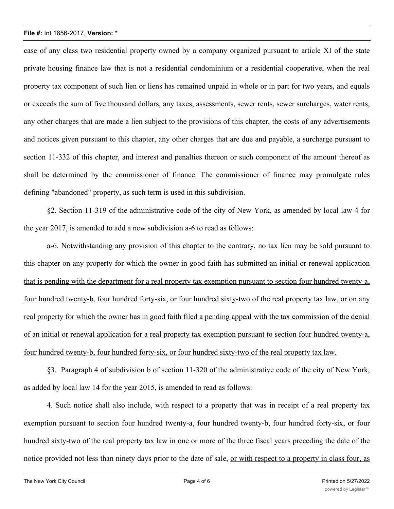case of any class two residential property owned by a company organized pursuant to article XI of the state private housing finance law that is not a residential condominium or a residential cooperative, when the real property tax component of such lien or liens has remained unpaid in whole or in part for two years, and equals or exceeds the sum of five thousand dollars, any taxes, assessments, sewer rents, sewer surcharges, water rents, any other charges that are made a lien subject to the provisions of this chapter, the costs of any advertisements and notices given pursuant to this chapter, any other charges that are due and payable, a surcharge pursuant to section 11-332 of this chapter, and interest and penalties thereon or such component of the amount thereof as shall be determined by the commissioner of finance. The commissioner of finance may promulgate rules defining "abandoned" property, as such term is used in this subdivision.

§2. Section 11-319 of the administrative code of the city of New York, as amended by local law 4 for the year 2017, is amended to add a new subdivision a-6 to read as follows:

a-6. Notwithstanding any provision of this chapter to the contrary, no tax lien may be sold pursuant to this chapter on any property for which the owner in good faith has submitted an initial or renewal application that is pending with the department for a real property tax exemption pursuant to section four hundred twenty-a, four hundred twenty-b, four hundred forty-six, or four hundred sixty-two of the real property tax law, or on any real property for which the owner has in good faith filed a pending appeal with the tax commission of the denial of an initial or renewal application for a real property tax exemption pursuant to section four hundred twenty-a, four hundred twenty-b, four hundred forty-six, or four hundred sixty-two of the real property tax law.

§3. Paragraph 4 of subdivision b of section 11-320 of the administrative code of the city of New York, as added by local law 14 for the year 2015, is amended to read as follows:

4. Such notice shall also include, with respect to a property that was in receipt of a real property tax exemption pursuant to section four hundred twenty-a, four hundred twenty-b, four hundred forty-six, or four hundred sixty-two of the real property tax law in one or more of the three fiscal years preceding the date of the notice provided not less than ninety days prior to the date of sale, <u>or with respect to a property in class four, as</u>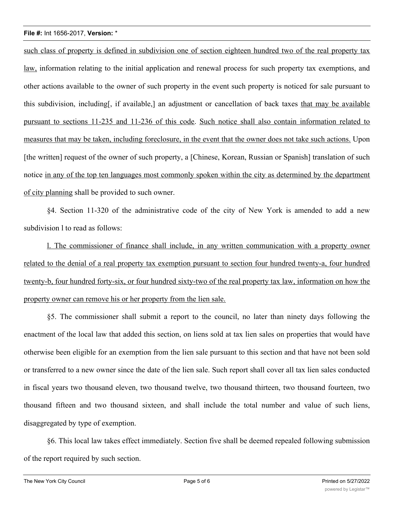such class of property is defined in subdivision one of section eighteen hundred two of the real property tax law, information relating to the initial application and renewal process for such property tax exemptions, and other actions available to the owner of such property in the event such property is noticed for sale pursuant to this subdivision, including[, if available,] an adjustment or cancellation of back taxes that may be available pursuant to sections 11-235 and 11-236 of this code. Such notice shall also contain information related to measures that may be taken, including foreclosure, in the event that the owner does not take such actions. Upon [the written] request of the owner of such property, a [Chinese, Korean, Russian or Spanish] translation of such notice in any of the top ten languages most commonly spoken within the city as determined by the department of city planning shall be provided to such owner.

§4. Section 11-320 of the administrative code of the city of New York is amended to add a new subdivision l to read as follows:

l. The commissioner of finance shall include, in any written communication with a property owner related to the denial of a real property tax exemption pursuant to section four hundred twenty-a, four hundred twenty-b, four hundred forty-six, or four hundred sixty-two of the real property tax law, information on how the property owner can remove his or her property from the lien sale.

§5. The commissioner shall submit a report to the council, no later than ninety days following the enactment of the local law that added this section, on liens sold at tax lien sales on properties that would have otherwise been eligible for an exemption from the lien sale pursuant to this section and that have not been sold or transferred to a new owner since the date of the lien sale. Such report shall cover all tax lien sales conducted in fiscal years two thousand eleven, two thousand twelve, two thousand thirteen, two thousand fourteen, two thousand fifteen and two thousand sixteen, and shall include the total number and value of such liens, disaggregated by type of exemption.

§6. This local law takes effect immediately. Section five shall be deemed repealed following submission of the report required by such section.